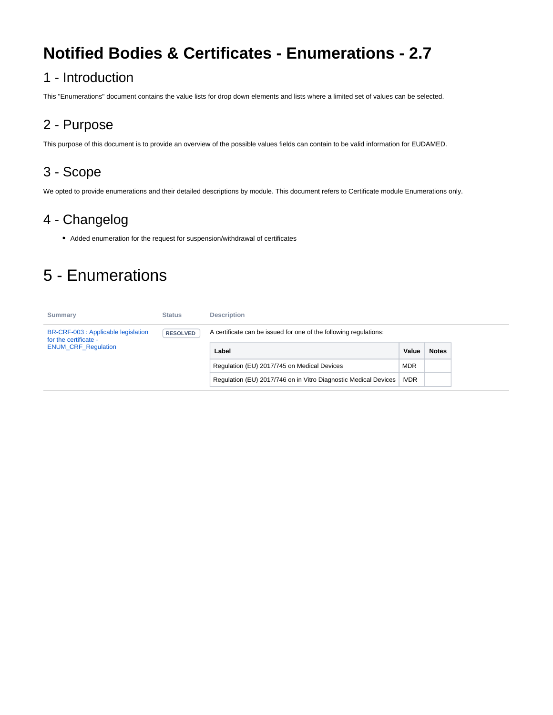# **Notified Bodies & Certificates - Enumerations - 2.7**

### 1 - Introduction

This "Enumerations" document contains the value lists for drop down elements and lists where a limited set of values can be selected.

### 2 - Purpose

This purpose of this document is to provide an overview of the possible values fields can contain to be valid information for EUDAMED.

## 3 - Scope

We opted to provide enumerations and their detailed descriptions by module. This document refers to Certificate module Enumerations only.

### 4 - Changelog

Added enumeration for the request for suspension/withdrawal of certificates

# 5 - Enumerations

| Summary                                                      | <b>Status</b>   | <b>Description</b>                                                |             |              |
|--------------------------------------------------------------|-----------------|-------------------------------------------------------------------|-------------|--------------|
| BR-CRF-003 : Applicable legislation<br>for the certificate - | <b>RESOLVED</b> | A certificate can be issued for one of the following regulations: |             |              |
| <b>ENUM CRF Regulation</b>                                   |                 | Label                                                             | Value       | <b>Notes</b> |
|                                                              |                 | Regulation (EU) 2017/745 on Medical Devices                       | <b>MDR</b>  |              |
|                                                              |                 | Regulation (EU) 2017/746 on in Vitro Diagnostic Medical Devices   | <b>IVDR</b> |              |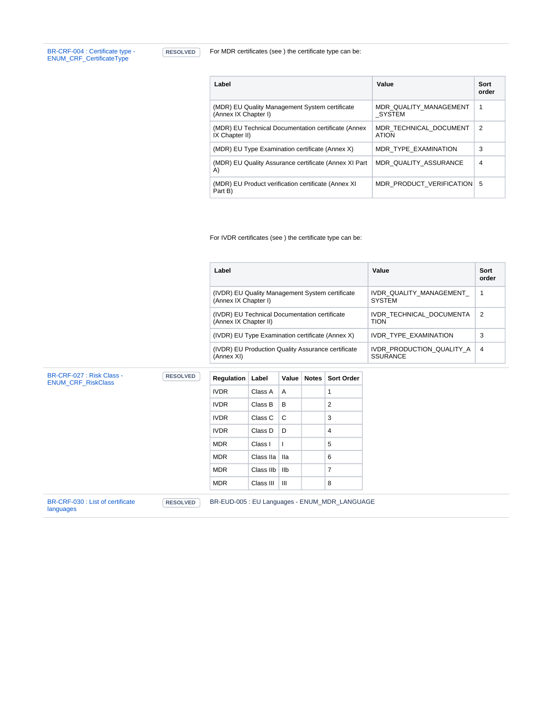[BR-CRF-004 : Certificate type -](https://citnet.tech.ec.europa.eu/CITnet/jira/browse/EUDAMEDMDR-2204?src=confmacro)  [ENUM\\_CRF\\_CertificateType](https://citnet.tech.ec.europa.eu/CITnet/jira/browse/EUDAMEDMDR-2204?src=confmacro)

**RESOLVED** For MDR certificates (see ) the certificate type can be:

| Label                                                                  | Value                                  | Sort<br>order |
|------------------------------------------------------------------------|----------------------------------------|---------------|
| (MDR) EU Quality Management System certificate<br>(Annex IX Chapter I) | MDR QUALITY MANAGEMENT<br>SYSTEM       | 1             |
| (MDR) EU Technical Documentation certificate (Annex<br>IX Chapter II)  | MDR TECHNICAL DOCUMENT<br><b>ATION</b> | 2             |
| (MDR) EU Type Examination certificate (Annex X)                        | MDR TYPE EXAMINATION                   | 3             |
| (MDR) EU Quality Assurance certificate (Annex XI Part<br>A)            | MDR QUALITY ASSURANCE                  | 4             |
| (MDR) EU Product verification certificate (Annex XI)<br>Part B)        | MDR PRODUCT_VERIFICATION               | 5             |

For IVDR certificates (see ) the certificate type can be:

| Label                                                                   | Value                                        | Sort<br>order |
|-------------------------------------------------------------------------|----------------------------------------------|---------------|
| (IVDR) EU Quality Management System certificate<br>(Annex IX Chapter I) | IVDR QUALITY MANAGEMENT<br><b>SYSTEM</b>     |               |
| (IVDR) EU Technical Documentation certificate<br>(Annex IX Chapter II)  | IVDR TECHNICAL DOCUMENTA<br><b>TION</b>      | 2             |
| (IVDR) EU Type Examination certificate (Annex X)                        | IVDR TYPE EXAMINATION                        | 3             |
| (IVDR) EU Production Quality Assurance certificate<br>(Annex XI)        | IVDR PRODUCTION QUALITY A<br><b>SSURANCE</b> | 4             |

| BR-CRF-027 : Risk Class -<br><b>ENUM CRF RiskClass</b> | <b>RESOLVED</b> | <b>Regulation</b>                             | Label     | Value | Notes | <b>Sort Order</b> |
|--------------------------------------------------------|-----------------|-----------------------------------------------|-----------|-------|-------|-------------------|
|                                                        |                 | <b>IVDR</b>                                   | Class A   | A     |       | 1                 |
|                                                        |                 | <b>IVDR</b>                                   | Class B   | B     |       | $\overline{2}$    |
|                                                        |                 | <b>IVDR</b>                                   | Class C   | C     |       | 3                 |
|                                                        |                 | <b>IVDR</b>                                   | Class D   | D     |       | 4                 |
|                                                        |                 | <b>MDR</b>                                    | Class I   |       |       | 5                 |
|                                                        |                 | <b>MDR</b>                                    | Class IIa | lla   |       | 6                 |
|                                                        |                 | <b>MDR</b>                                    | Class IIb | llb   |       | $\overline{7}$    |
|                                                        |                 | <b>MDR</b>                                    | Class III | Ш     |       | 8                 |
| BR-CRF-030 : List of certificate<br>languages          | <b>RESOLVED</b> | BR-EUD-005 : EU Languages - ENUM_MDR_LANGUAGE |           |       |       |                   |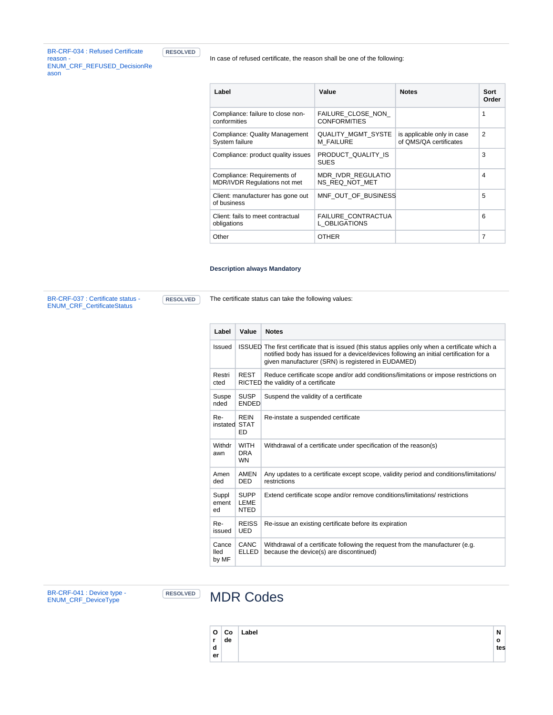| <b>BR-CRF-034: Refused Certificate</b> |  |
|----------------------------------------|--|
| reason -                               |  |
| <b>ENUM CRF REFUSED DecisionRe</b>     |  |
| ason                                   |  |

**RESOLVED** 

In case of refused certificate, the reason shall be one of the following:

| Label                                                              | Value                                    | <b>Notes</b>                                         | Sort<br>Order  |
|--------------------------------------------------------------------|------------------------------------------|------------------------------------------------------|----------------|
| Compliance: failure to close non-<br>conformities                  | FAILURE CLOSE NON<br><b>CONFORMITIES</b> |                                                      | 1              |
| Compliance: Quality Management<br>System failure                   | <b>QUALITY MGMT SYSTE</b><br>M FAILURE   | is applicable only in case<br>of QMS/QA certificates | $\overline{2}$ |
| Compliance: product quality issues                                 | PRODUCT_QUALITY_IS<br><b>SUES</b>        |                                                      | 3              |
| Compliance: Requirements of<br><b>MDR/IVDR Requlations not met</b> | MDR IVDR REGULATIO<br>NS REQ NOT MET     |                                                      | 4              |
| Client: manufacturer has gone out<br>of business                   | MNF OUT OF BUSINESS                      |                                                      | 5              |
| Client: fails to meet contractual<br>obligations                   | FAILURE CONTRACTUA<br>L OBLIGATIONS      |                                                      | 6              |
| Other                                                              | <b>OTHER</b>                             |                                                      | $\overline{7}$ |

#### **Description always Mandatory**

[BR-CRF-037 : Certificate status -](https://citnet.tech.ec.europa.eu/CITnet/jira/browse/EUDAMEDMDR-2238?src=confmacro)  [ENUM\\_CRF\\_CertificateStatus](https://citnet.tech.ec.europa.eu/CITnet/jira/browse/EUDAMEDMDR-2238?src=confmacro)

**RESOLVED** The certificate status can take the following values:

| Label                  | Value                                  | <b>Notes</b>                                                                                                                                                                                                                                     |
|------------------------|----------------------------------------|--------------------------------------------------------------------------------------------------------------------------------------------------------------------------------------------------------------------------------------------------|
| Issued                 |                                        | ISSUED The first certificate that is issued (this status applies only when a certificate which a<br>notified body has issued for a device/devices following an initial certification for a<br>given manufacturer (SRN) is registered in EUDAMED) |
| Restri<br>cted         | <b>REST</b>                            | Reduce certificate scope and/or add conditions/limitations or impose restrictions on<br>RICTED the validity of a certificate                                                                                                                     |
| Suspe<br>nded          | <b>SUSP</b><br><b>FNDFD</b>            | Suspend the validity of a certificate                                                                                                                                                                                                            |
| Re-<br>instated STAT   | <b>REIN</b><br>ED                      | Re-instate a suspended certificate                                                                                                                                                                                                               |
| Withdr<br>awn          | <b>WITH</b><br><b>DRA</b><br><b>WN</b> | Withdrawal of a certificate under specification of the reason(s)                                                                                                                                                                                 |
| Amen<br>ded            | <b>AMEN</b><br><b>DED</b>              | Any updates to a certificate except scope, validity period and conditions/limitations/<br>restrictions                                                                                                                                           |
| Suppl<br>ement<br>ed   | <b>SUPP</b><br>LEME<br><b>NTED</b>     | Extend certificate scope and/or remove conditions/limitations/ restrictions                                                                                                                                                                      |
| Re-<br>issued          | <b>REISS</b><br><b>UED</b>             | Re-issue an existing certificate before its expiration                                                                                                                                                                                           |
| Cance<br>lled<br>by MF | CANC<br><b>ELLED</b>                   | Withdrawal of a certificate following the request from the manufacturer (e.g.<br>because the device(s) are discontinued)                                                                                                                         |

[BR-CRF-041 : Device type -](https://citnet.tech.ec.europa.eu/CITnet/jira/browse/EUDAMEDMDR-2241?src=confmacro)  [ENUM\\_CRF\\_DeviceType](https://citnet.tech.ec.europa.eu/CITnet/jira/browse/EUDAMEDMDR-2241?src=confmacro)

### **RESOLVED** MDR Codes

| $\mathbf{o}$ | ∣Co | Label | N   |
|--------------|-----|-------|-----|
| r            | de  |       | o   |
| d            |     |       | tes |
| er           |     |       |     |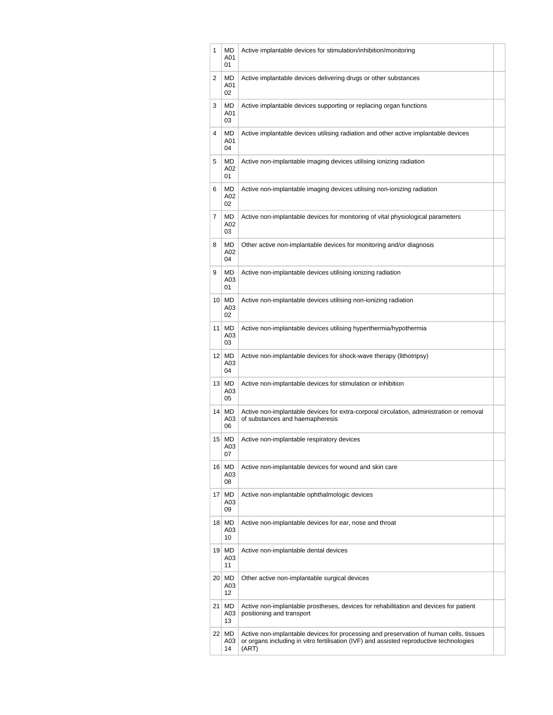| 1 | MD<br>A01<br>01                  | Active implantable devices for stimulation/inhibition/monitoring                                                                                                                           |  |
|---|----------------------------------|--------------------------------------------------------------------------------------------------------------------------------------------------------------------------------------------|--|
| 2 | MD<br>A01<br>02                  | Active implantable devices delivering drugs or other substances                                                                                                                            |  |
| 3 | MD<br>A01<br>03                  | Active implantable devices supporting or replacing organ functions                                                                                                                         |  |
| 4 | <b>MD</b><br>A01<br>04           | Active implantable devices utilising radiation and other active implantable devices                                                                                                        |  |
| 5 | MD<br>A02<br>01                  | Active non-implantable imaging devices utilising ionizing radiation                                                                                                                        |  |
| 6 | MD.<br>A02<br>02                 | Active non-implantable imaging devices utilising non-ionizing radiation                                                                                                                    |  |
| 7 | MD<br>A02<br>03                  | Active non-implantable devices for monitoring of vital physiological parameters                                                                                                            |  |
| 8 | MD<br>A02<br>04                  | Other active non-implantable devices for monitoring and/or diagnosis                                                                                                                       |  |
| 9 | MD<br>A03<br>01                  | Active non-implantable devices utilising ionizing radiation                                                                                                                                |  |
|   | $10$ MD<br>A03<br>02             | Active non-implantable devices utilising non-ionizing radiation                                                                                                                            |  |
|   | $11$ MD<br>A03<br>03             | Active non-implantable devices utilising hyperthermia/hypothermia                                                                                                                          |  |
|   | $12$ MD<br>A03<br>04             | Active non-implantable devices for shock-wave therapy (lithotripsy)                                                                                                                        |  |
|   | $13$ MD<br>A03<br>05             | Active non-implantable devices for stimulation or inhibition                                                                                                                               |  |
|   | $14$ MD<br>A03<br>06             | Active non-implantable devices for extra-corporal circulation, administration or removal<br>of substances and haemapheresis                                                                |  |
|   | $15$ MD<br>A03<br>07             | Active non-implantable respiratory devices                                                                                                                                                 |  |
|   | $16$ MD<br>A03<br>08             | Active non-implantable devices for wound and skin care                                                                                                                                     |  |
|   | $17$ MD<br>A03<br>09             | Active non-implantable ophthalmologic devices                                                                                                                                              |  |
|   | $18$ MD<br>A03<br>10             | Active non-implantable devices for ear, nose and throat                                                                                                                                    |  |
|   | $19$ MD<br>A03<br>11             | Active non-implantable dental devices                                                                                                                                                      |  |
|   | $20 \mid \text{MD}$<br>A03<br>12 | Other active non-implantable surgical devices                                                                                                                                              |  |
|   | 21<br>MD<br>A03<br>13            | Active non-implantable prostheses, devices for rehabilitation and devices for patient<br>positioning and transport                                                                         |  |
|   | 22 MD<br>A03<br>14               | Active non-implantable devices for processing and preservation of human cells, tissues<br>or organs including in vitro fertilisation (IVF) and assisted reproductive technologies<br>(ART) |  |
|   |                                  |                                                                                                                                                                                            |  |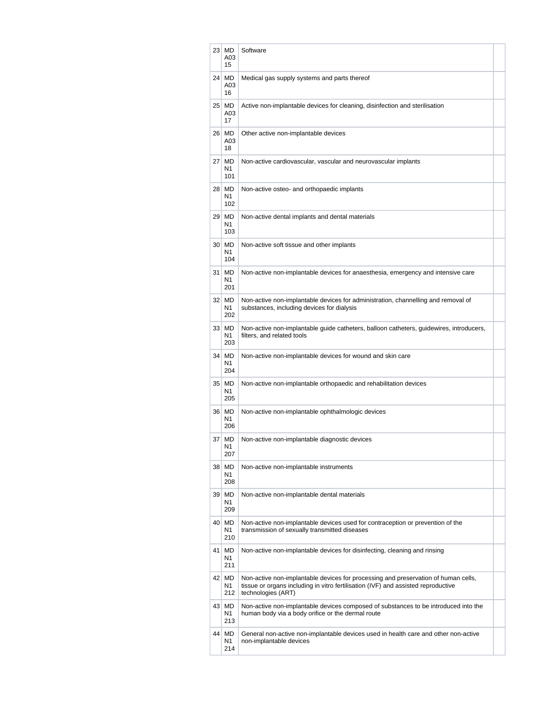|    | $23 \mid \text{MD}$<br>A03<br>15 | Software                                                                                                                                                                                      |  |
|----|----------------------------------|-----------------------------------------------------------------------------------------------------------------------------------------------------------------------------------------------|--|
|    | 24 MD<br>A03<br>16               | Medical gas supply systems and parts thereof                                                                                                                                                  |  |
|    | $25$ MD<br>A03<br>17             | Active non-implantable devices for cleaning, disinfection and sterilisation                                                                                                                   |  |
|    | 26 MD<br>A03<br>18               | Other active non-implantable devices                                                                                                                                                          |  |
|    | $27$ MD<br>N1<br>101             | Non-active cardiovascular, vascular and neurovascular implants                                                                                                                                |  |
|    | 28 MD<br>N1<br>102               | Non-active osteo- and orthopaedic implants                                                                                                                                                    |  |
|    | $29$ MD<br>N1<br>103             | Non-active dental implants and dental materials                                                                                                                                               |  |
|    | 30 MD<br>N1<br>104               | Non-active soft tissue and other implants                                                                                                                                                     |  |
|    | 31 MD<br>N1<br>201               | Non-active non-implantable devices for anaesthesia, emergency and intensive care                                                                                                              |  |
|    | 32 MD<br>N1<br>202               | Non-active non-implantable devices for administration, channelling and removal of<br>substances, including devices for dialysis                                                               |  |
|    | 33 MD<br>N1<br>203               | Non-active non-implantable guide catheters, balloon catheters, guidewires, introducers,<br>filters, and related tools                                                                         |  |
|    | 34 MD<br>N1<br>204               | Non-active non-implantable devices for wound and skin care                                                                                                                                    |  |
|    | 35 MD<br>N1<br>205               | Non-active non-implantable orthopaedic and rehabilitation devices                                                                                                                             |  |
|    | 36 MD<br>N1<br>206               | Non-active non-implantable ophthalmologic devices                                                                                                                                             |  |
| 37 | MD<br>N1<br>207                  | Non-active non-implantable diagnostic devices                                                                                                                                                 |  |
|    | 38 MD<br>N1<br>208               | Non-active non-implantable instruments                                                                                                                                                        |  |
|    | 39 MD<br>N1<br>209               | Non-active non-implantable dental materials                                                                                                                                                   |  |
|    | 40 MD<br>N1<br>210               | Non-active non-implantable devices used for contraception or prevention of the<br>transmission of sexually transmitted diseases                                                               |  |
|    | 41 MD<br>N1<br>211               | Non-active non-implantable devices for disinfecting, cleaning and rinsing                                                                                                                     |  |
|    | 42 MD<br>N1<br>212               | Non-active non-implantable devices for processing and preservation of human cells,<br>tissue or organs including in vitro fertilisation (IVF) and assisted reproductive<br>technologies (ART) |  |
|    | 43 MD<br>N1<br>213               | Non-active non-implantable devices composed of substances to be introduced into the<br>human body via a body orifice or the dermal route                                                      |  |
|    | 44 MD<br>N1<br>214               | General non-active non-implantable devices used in health care and other non-active<br>non-implantable devices                                                                                |  |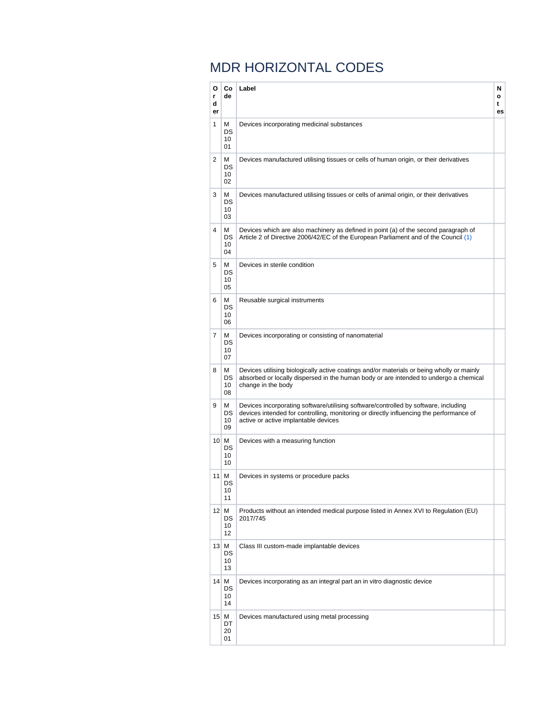## MDR HORIZONTAL CODES

| o<br>r<br>d<br>er | Co<br>de                   | Label                                                                                                                                                                                                                  | N<br>o<br>t<br>es |
|-------------------|----------------------------|------------------------------------------------------------------------------------------------------------------------------------------------------------------------------------------------------------------------|-------------------|
| 1                 | М<br>DS<br>10<br>01        | Devices incorporating medicinal substances                                                                                                                                                                             |                   |
| 2                 | M<br>DS<br>10<br>02        | Devices manufactured utilising tissues or cells of human origin, or their derivatives                                                                                                                                  |                   |
| 3                 | M<br>DS<br>10<br>03        | Devices manufactured utilising tissues or cells of animal origin, or their derivatives                                                                                                                                 |                   |
| 4                 | м<br>DS.<br>10<br>04       | Devices which are also machinery as defined in point (a) of the second paragraph of<br>Article 2 of Directive 2006/42/EC of the European Parliament and of the Council (1)                                             |                   |
| 5                 | м<br>DS<br>10<br>05        | Devices in sterile condition                                                                                                                                                                                           |                   |
| 6                 | М<br>DS<br>10<br>06        | Reusable surgical instruments                                                                                                                                                                                          |                   |
| 7                 | М<br>DS<br>10<br>07        | Devices incorporating or consisting of nanomaterial                                                                                                                                                                    |                   |
| 8                 | М<br>DS<br>10<br>08        | Devices utilising biologically active coatings and/or materials or being wholly or mainly<br>absorbed or locally dispersed in the human body or are intended to undergo a chemical<br>change in the body               |                   |
| 9                 | М<br>DS<br>10<br>09        | Devices incorporating software/utilising software/controlled by software, including<br>devices intended for controlling, monitoring or directly influencing the performance of<br>active or active implantable devices |                   |
|                   | 10 M<br>DS<br>10<br>10     | Devices with a measuring function                                                                                                                                                                                      |                   |
| 11                | M<br><b>DS</b><br>10<br>11 | Devices in systems or procedure packs                                                                                                                                                                                  |                   |
|                   | $12$ M<br>DS<br>10<br>12   | Products without an intended medical purpose listed in Annex XVI to Regulation (EU)<br>2017/745                                                                                                                        |                   |
|                   | 13 M<br>DS<br>10<br>13     | Class III custom-made implantable devices                                                                                                                                                                              |                   |
|                   | $14$ M<br>DS<br>10<br>14   | Devices incorporating as an integral part an in vitro diagnostic device                                                                                                                                                |                   |
|                   | $15$ M<br>DT<br>20<br>01   | Devices manufactured using metal processing                                                                                                                                                                            |                   |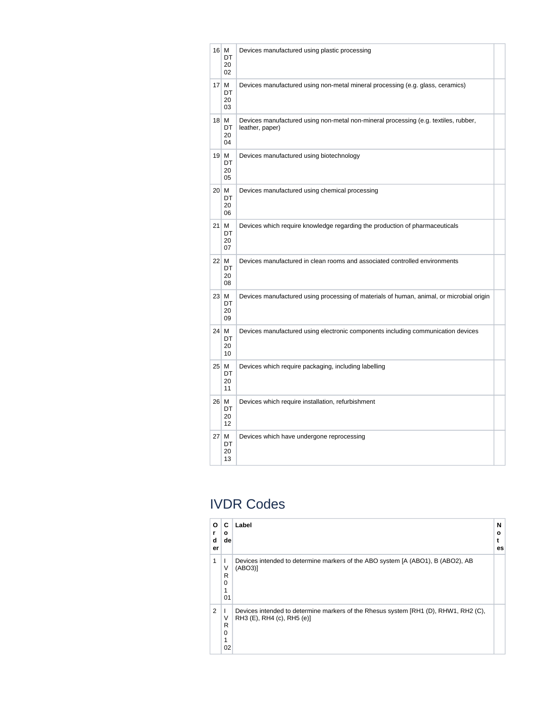| $16$ M<br>DT<br>20<br>02 | Devices manufactured using plastic processing                                                          |  |
|--------------------------|--------------------------------------------------------------------------------------------------------|--|
| $17$ M<br>DT<br>20<br>03 | Devices manufactured using non-metal mineral processing (e.g. glass, ceramics)                         |  |
| $18$ M<br>DT<br>20<br>04 | Devices manufactured using non-metal non-mineral processing (e.g. textiles, rubber,<br>leather, paper) |  |
| $19$ M<br>DT<br>20<br>05 | Devices manufactured using biotechnology                                                               |  |
| $20$ M<br>DT<br>20<br>06 | Devices manufactured using chemical processing                                                         |  |
| $21$ M<br>DT<br>20<br>07 | Devices which require knowledge regarding the production of pharmaceuticals                            |  |
| 22 M<br>DT<br>20<br>08   | Devices manufactured in clean rooms and associated controlled environments                             |  |
| 23 M<br>DT<br>20<br>09   | Devices manufactured using processing of materials of human, animal, or microbial origin               |  |
| 24 M<br>DT<br>20<br>10   | Devices manufactured using electronic components including communication devices                       |  |
| 25 M<br>DT<br>20<br>11   | Devices which require packaging, including labelling                                                   |  |
| 26 M<br>DT<br>20<br>12   | Devices which require installation, refurbishment                                                      |  |
| 27 M<br>DT<br>20<br>13   | Devices which have undergone reprocessing                                                              |  |

## IVDR Codes

| O<br>d<br>er | C<br>o<br>de                     | Label                                                                                                             | N<br>о<br>es |
|--------------|----------------------------------|-------------------------------------------------------------------------------------------------------------------|--------------|
| 1            | ν<br>R<br>$\mathbf 0$<br>1<br>01 | Devices intended to determine markers of the ABO system [A (ABO1), B (ABO2), AB<br>(ABO3)                         |              |
| 2            | ν<br>R<br>$\mathbf 0$<br>1<br>02 | Devices intended to determine markers of the Rhesus system [RH1 (D), RHW1, RH2 (C),<br>RH3 (E), RH4 (c), RH5 (e)] |              |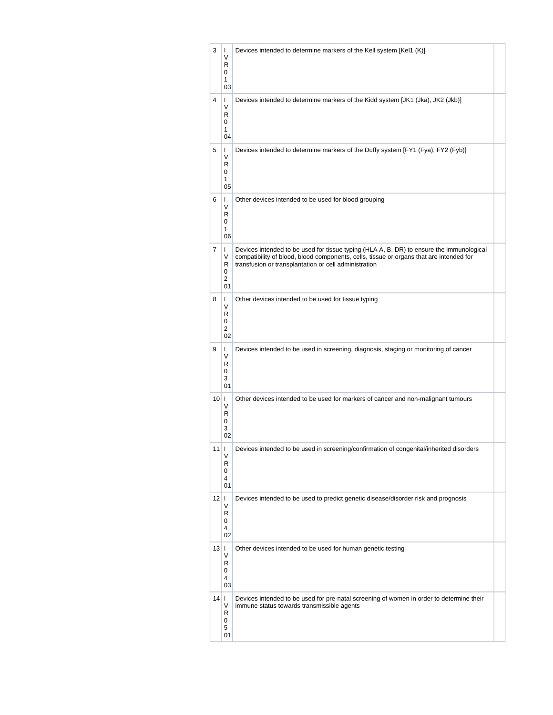| 3              | L<br>V<br>R<br>0<br>1<br>03              | Devices intended to determine markers of the Kell system [Kel1 (K)]                                                                                                                                                                          |  |
|----------------|------------------------------------------|----------------------------------------------------------------------------------------------------------------------------------------------------------------------------------------------------------------------------------------------|--|
| 4              | L<br>V<br>R<br>0<br>1<br>04              | Devices intended to determine markers of the Kidd system [JK1 (Jka), JK2 (Jkb)]                                                                                                                                                              |  |
| 5              | L<br>V<br>R<br>0<br>1<br>05              | Devices intended to determine markers of the Duffy system [FY1 (Fya), FY2 (Fyb)]                                                                                                                                                             |  |
| 6              | L<br>V<br>R<br>0<br>1<br>06              | Other devices intended to be used for blood grouping                                                                                                                                                                                         |  |
| 7              | L<br>V<br>R<br>0<br>2<br>01              | Devices intended to be used for tissue typing (HLA A, B, DR) to ensure the immunological<br>compatibility of blood, blood components, cells, tissue or organs that are intended for<br>transfusion or transplantation or cell administration |  |
| 8              | L<br>V<br>R<br>0<br>$\overline{2}$<br>02 | Other devices intended to be used for tissue typing                                                                                                                                                                                          |  |
| 9              | L<br>V<br>R<br>0<br>3<br>01              | Devices intended to be used in screening, diagnosis, staging or monitoring of cancer                                                                                                                                                         |  |
| $10$           | V<br>R<br>0<br>3<br>02                   | Other devices intended to be used for markers of cancer and non-malignant tumours                                                                                                                                                            |  |
| 11 I I         | V<br>R<br>0<br>4<br>01                   | Devices intended to be used in screening/confirmation of congenital/inherited disorders                                                                                                                                                      |  |
| $12$   $\mid$  | V<br>R<br>0<br>4<br>02                   | Devices intended to be used to predict genetic disease/disorder risk and prognosis                                                                                                                                                           |  |
| $13$   $\mid$  | V<br>R<br>0<br>4<br>03                   | Other devices intended to be used for human genetic testing                                                                                                                                                                                  |  |
| $14$   $\vert$ | V<br>R<br>0<br>5<br>01                   | Devices intended to be used for pre-natal screening of women in order to determine their<br>immune status towards transmissible agents                                                                                                       |  |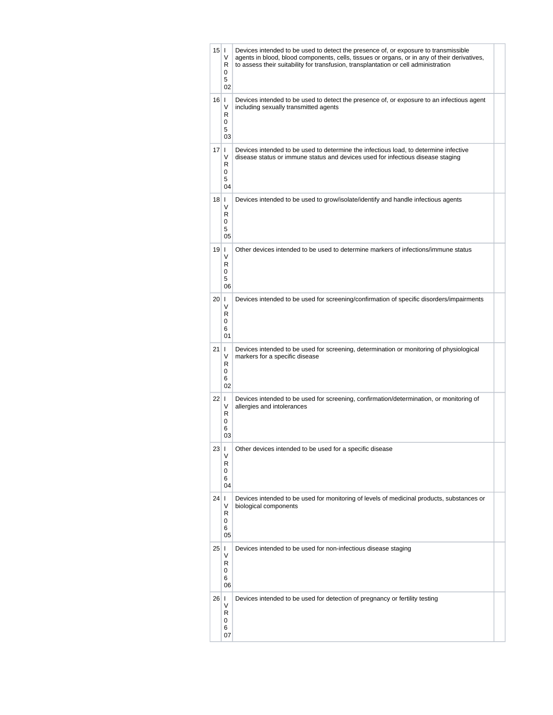| 15 I      | V<br>R<br>0<br>5<br>02              | Devices intended to be used to detect the presence of, or exposure to transmissible<br>agents in blood, blood components, cells, tissues or organs, or in any of their derivatives,<br>to assess their suitability for transfusion, transplantation or cell administration |  |
|-----------|-------------------------------------|----------------------------------------------------------------------------------------------------------------------------------------------------------------------------------------------------------------------------------------------------------------------------|--|
| $16$      | V<br>R<br>0<br>5<br>03              | Devices intended to be used to detect the presence of, or exposure to an infectious agent<br>including sexually transmitted agents                                                                                                                                         |  |
| $17$   1  | V<br>R<br>0<br>5<br>04              | Devices intended to be used to determine the infectious load, to determine infective<br>disease status or immune status and devices used for infectious disease staging                                                                                                    |  |
| $18$   I  | V<br>R<br>0<br>5<br>05              | Devices intended to be used to grow/isolate/identify and handle infectious agents                                                                                                                                                                                          |  |
| 19 I      | V<br>R<br>0<br>5<br>06              | Other devices intended to be used to determine markers of infections/immune status                                                                                                                                                                                         |  |
| 20 1      | V<br>R<br>0<br>6<br>01              | Devices intended to be used for screening/confirmation of specific disorders/impairments                                                                                                                                                                                   |  |
| $21 \mid$ | V<br>R<br>0<br>6<br>02 <sup>2</sup> | Devices intended to be used for screening, determination or monitoring of physiological<br>markers for a specific disease                                                                                                                                                  |  |
| $22$   1  | V<br>R<br>0<br>6<br>03              | Devices intended to be used for screening, confirmation/determination, or monitoring of<br>allergies and intolerances                                                                                                                                                      |  |
| 23 I      | V<br>R<br>0<br>6<br>04              | Other devices intended to be used for a specific disease                                                                                                                                                                                                                   |  |
| $24$   1  | V<br>R<br>0<br>6<br>05              | Devices intended to be used for monitoring of levels of medicinal products, substances or<br>biological components                                                                                                                                                         |  |
| $25$   1  | V<br>R<br>0<br>6<br>06              | Devices intended to be used for non-infectious disease staging                                                                                                                                                                                                             |  |
| $26$   1  | V<br>R<br>0<br>6<br>07              | Devices intended to be used for detection of pregnancy or fertility testing                                                                                                                                                                                                |  |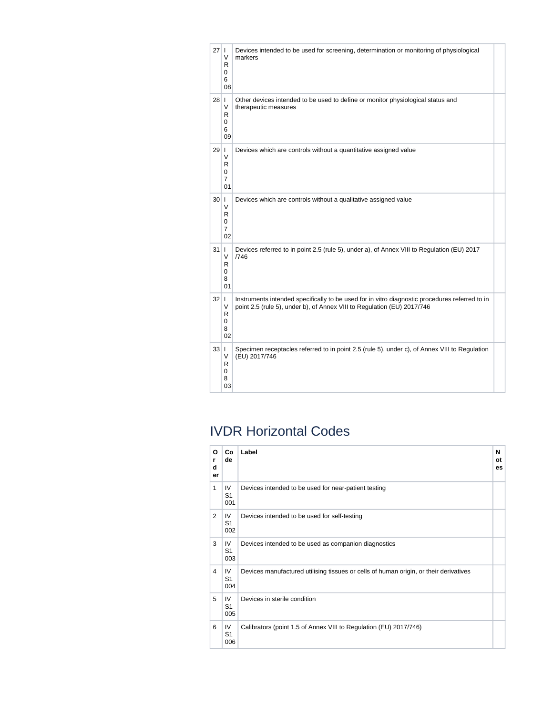| $27$   1 | V<br>R<br>0<br>6<br>08              | Devices intended to be used for screening, determination or monitoring of physiological<br>markers                                                                        |  |
|----------|-------------------------------------|---------------------------------------------------------------------------------------------------------------------------------------------------------------------------|--|
| $28$   1 | V<br>R<br>0<br>6<br>09              | Other devices intended to be used to define or monitor physiological status and<br>therapeutic measures                                                                   |  |
| $29$   1 | V<br>R<br>0<br>$\overline{7}$<br>01 | Devices which are controls without a quantitative assigned value                                                                                                          |  |
| 30 1     | V<br>R<br>0<br>$\overline{7}$<br>02 | Devices which are controls without a qualitative assigned value                                                                                                           |  |
| $31$     | V<br>R<br>0<br>8<br>01              | Devices referred to in point 2.5 (rule 5), under a), of Annex VIII to Regulation (EU) 2017<br>/746                                                                        |  |
| $32$   1 | V<br>R<br>0<br>8<br>02              | Instruments intended specifically to be used for in vitro diagnostic procedures referred to in<br>point 2.5 (rule 5), under b), of Annex VIII to Regulation (EU) 2017/746 |  |
| $33$   1 | V<br>R<br>0<br>8<br>03              | Specimen receptacles referred to in point 2.5 (rule 5), under c), of Annex VIII to Regulation<br>(EU) 2017/746                                                            |  |

## IVDR Horizontal Codes

| O<br>r<br>d<br>er | Co<br>de                    | Label                                                                                 | N<br>οt<br>es |
|-------------------|-----------------------------|---------------------------------------------------------------------------------------|---------------|
| 1                 | IV<br>S <sub>1</sub><br>001 | Devices intended to be used for near-patient testing                                  |               |
| 2                 | IV<br>S <sub>1</sub><br>002 | Devices intended to be used for self-testing                                          |               |
| 3                 | IV<br>S <sub>1</sub><br>003 | Devices intended to be used as companion diagnostics                                  |               |
| 4                 | IV<br>S <sub>1</sub><br>004 | Devices manufactured utilising tissues or cells of human origin, or their derivatives |               |
| 5                 | IV<br>S <sub>1</sub><br>005 | Devices in sterile condition                                                          |               |
| 6                 | IV<br>S <sub>1</sub><br>006 | Calibrators (point 1.5 of Annex VIII to Regulation (EU) 2017/746)                     |               |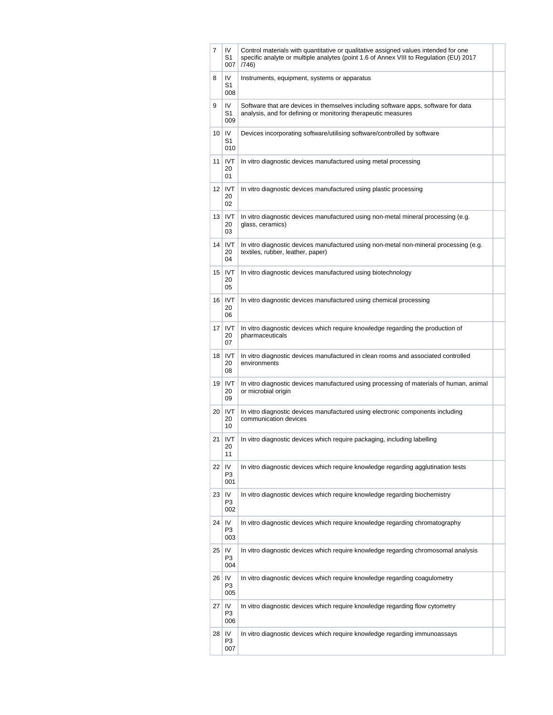| 7  | IV<br>S1<br>007                    | Control materials with quantitative or qualitative assigned values intended for one<br>specific analyte or multiple analytes (point 1.6 of Annex VIII to Regulation (EU) 2017<br>(746) |  |
|----|------------------------------------|----------------------------------------------------------------------------------------------------------------------------------------------------------------------------------------|--|
| 8  | IV<br>S1<br>008                    | Instruments, equipment, systems or apparatus                                                                                                                                           |  |
| 9  | IV<br>S <sub>1</sub><br>009        | Software that are devices in themselves including software apps, software for data<br>analysis, and for defining or monitoring therapeutic measures                                    |  |
|    | $10$ IV<br>S1<br>010               | Devices incorporating software/utilising software/controlled by software                                                                                                               |  |
|    | 11 IVT<br>20<br>01                 | In vitro diagnostic devices manufactured using metal processing                                                                                                                        |  |
|    | 12 IVT<br>20<br>02                 | In vitro diagnostic devices manufactured using plastic processing                                                                                                                      |  |
| 13 | <b>IVT</b><br>20<br>03             | In vitro diagnostic devices manufactured using non-metal mineral processing (e.g.<br>glass, ceramics)                                                                                  |  |
|    | 14 IVT<br>20<br>04                 | In vitro diagnostic devices manufactured using non-metal non-mineral processing (e.g.<br>textiles, rubber, leather, paper)                                                             |  |
|    | 15   IVT<br>20<br>05               | In vitro diagnostic devices manufactured using biotechnology                                                                                                                           |  |
|    | 16   IVT<br>20<br>06               | In vitro diagnostic devices manufactured using chemical processing                                                                                                                     |  |
| 17 | <b>IVT</b><br>20<br>07             | In vitro diagnostic devices which require knowledge regarding the production of<br>pharmaceuticals                                                                                     |  |
|    | 18 IVT<br>20<br>08                 | In vitro diagnostic devices manufactured in clean rooms and associated controlled<br>environments                                                                                      |  |
|    | 19 IVT<br>20<br>09                 | In vitro diagnostic devices manufactured using processing of materials of human, animal<br>or microbial origin                                                                         |  |
|    | $20$ IVT<br>20<br>10               | In vitro diagnostic devices manufactured using electronic components including<br>communication devices                                                                                |  |
| 21 | <b>IVT</b><br>20<br>11             | In vitro diagnostic devices which require packaging, including labelling                                                                                                               |  |
|    | $22$   IV<br>P <sub>3</sub><br>001 | In vitro diagnostic devices which require knowledge regarding agglutination tests                                                                                                      |  |
|    | $23$   IV<br>P3<br>002             | In vitro diagnostic devices which require knowledge regarding biochemistry                                                                                                             |  |
|    | 24 IV<br>P <sub>3</sub><br>003     | In vitro diagnostic devices which require knowledge regarding chromatography                                                                                                           |  |
|    | $25$ IV<br>P <sub>3</sub><br>004   | In vitro diagnostic devices which require knowledge regarding chromosomal analysis                                                                                                     |  |
| 26 | IV<br>P3<br>005                    | In vitro diagnostic devices which require knowledge regarding coagulometry                                                                                                             |  |
| 27 | IV<br>P <sub>3</sub><br>006        | In vitro diagnostic devices which require knowledge regarding flow cytometry                                                                                                           |  |
| 28 | IV<br>P <sub>3</sub><br>007        | In vitro diagnostic devices which require knowledge regarding immunoassays                                                                                                             |  |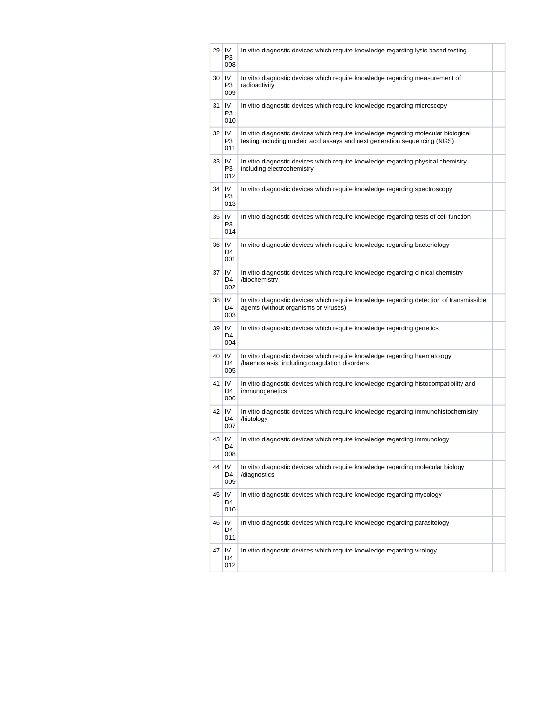| 29 | IV<br>P <sub>3</sub><br>008 | In vitro diagnostic devices which require knowledge regarding lysis based testing                                                                                |  |
|----|-----------------------------|------------------------------------------------------------------------------------------------------------------------------------------------------------------|--|
| 30 | IV<br>P3<br>009             | In vitro diagnostic devices which require knowledge regarding measurement of<br>radioactivity                                                                    |  |
| 31 | IV<br>P <sub>3</sub><br>010 | In vitro diagnostic devices which require knowledge regarding microscopy                                                                                         |  |
| 32 | IV<br>P3<br>011             | In vitro diagnostic devices which require knowledge regarding molecular biological<br>testing including nucleic acid assays and next generation sequencing (NGS) |  |
| 33 | IV<br>P3<br>012             | In vitro diagnostic devices which require knowledge regarding physical chemistry<br>including electrochemistry                                                   |  |
| 34 | IV<br>P <sub>3</sub><br>013 | In vitro diagnostic devices which require knowledge regarding spectroscopy                                                                                       |  |
| 35 | IV<br>P <sub>3</sub><br>014 | In vitro diagnostic devices which require knowledge regarding tests of cell function                                                                             |  |
| 36 | IV<br>D <sub>4</sub><br>001 | In vitro diagnostic devices which require knowledge regarding bacteriology                                                                                       |  |
| 37 | IV<br>D4<br>002             | In vitro diagnostic devices which require knowledge regarding clinical chemistry<br>/biochemistry                                                                |  |
| 38 | IV<br>D4<br>003             | In vitro diagnostic devices which require knowledge regarding detection of transmissible<br>agents (without organisms or viruses)                                |  |
| 39 | IV<br>D <sub>4</sub><br>004 | In vitro diagnostic devices which require knowledge regarding genetics                                                                                           |  |
| 40 | IV<br>D4<br>005             | In vitro diagnostic devices which require knowledge regarding haematology<br>/haemostasis, including coagulation disorders                                       |  |
| 41 | IV<br>D4<br>006             | In vitro diagnostic devices which require knowledge regarding histocompatibility and<br>immunogenetics                                                           |  |
| 42 | IV<br>D4<br>007             | In vitro diagnostic devices which require knowledge regarding immunohistochemistry<br>/histology                                                                 |  |
| 43 | IV<br>D4<br>008             | In vitro diagnostic devices which require knowledge regarding immunology                                                                                         |  |
| 44 | IV<br>D4<br>009             | In vitro diagnostic devices which require knowledge regarding molecular biology<br>/diagnostics                                                                  |  |
| 45 | IV<br>D4<br>010             | In vitro diagnostic devices which require knowledge regarding mycology                                                                                           |  |
| 46 | IV<br>D <sub>4</sub><br>011 | In vitro diagnostic devices which require knowledge regarding parasitology                                                                                       |  |
| 47 | IV<br>D4<br>012             | In vitro diagnostic devices which require knowledge regarding virology                                                                                           |  |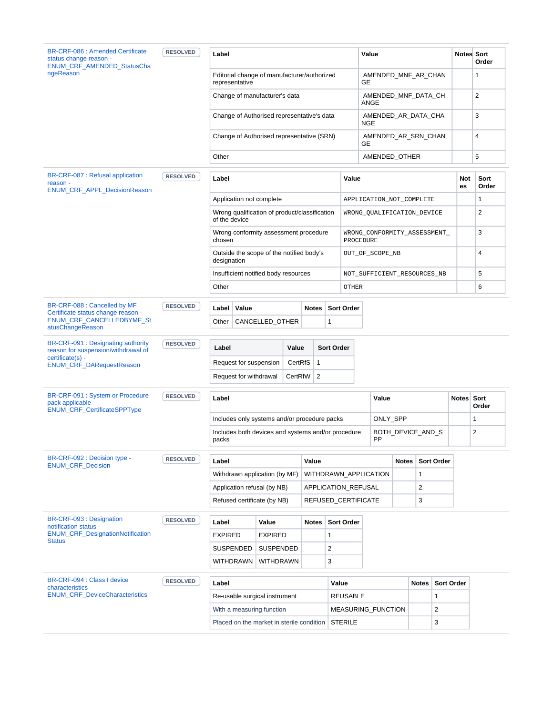| <b>BR-CRF-086 : Amended Certificate</b><br>status change reason -<br><b>ENUM CRF AMENDED StatusCha</b> | <b>RESOLVED</b> | Label                                                          |                  |                               |                     |                       | Value                                     |              |                         |            | <b>Notes</b> Sort<br>Order |
|--------------------------------------------------------------------------------------------------------|-----------------|----------------------------------------------------------------|------------------|-------------------------------|---------------------|-----------------------|-------------------------------------------|--------------|-------------------------|------------|----------------------------|
| ngeReason                                                                                              |                 | Editorial change of manufacturer/authorized<br>representative  |                  |                               |                     |                       | AMENDED_MNF_AR_CHAN<br>GE                 |              |                         |            | 1                          |
|                                                                                                        |                 | Change of manufacturer's data                                  |                  |                               |                     |                       | AMENDED_MNF_DATA_CH<br>ANGE               |              |                         |            | $\overline{\mathbf{c}}$    |
|                                                                                                        |                 | Change of Authorised representative's data                     |                  |                               |                     |                       | AMENDED_AR_DATA_CHA<br><b>NGE</b>         |              |                         |            | 3                          |
|                                                                                                        |                 | Change of Authorised representative (SRN)                      |                  |                               |                     |                       | AMENDED_AR_SRN_CHAN<br>GE                 |              |                         |            | 4                          |
|                                                                                                        |                 | Other                                                          |                  |                               |                     |                       | AMENDED_OTHER                             |              |                         |            | 5                          |
| BR-CRF-087 : Refusal application<br>reason -<br>ENUM_CRF_APPL_DecisionReason                           | <b>RESOLVED</b> | Label                                                          |                  |                               |                     | Value                 |                                           |              |                         | Not<br>es  | Sort<br>Order              |
|                                                                                                        |                 | Application not complete                                       |                  |                               |                     |                       | APPLICATION_NOT_COMPLETE                  |              |                         |            | 1                          |
|                                                                                                        |                 | Wrong qualification of product/classification<br>of the device |                  |                               |                     |                       | WRONG_QUALIFICATION_DEVICE                |              |                         |            | $\overline{2}$             |
|                                                                                                        |                 | Wrong conformity assessment procedure<br>chosen                |                  |                               |                     |                       | WRONG_CONFORMITY_ASSESSMENT_<br>PROCEDURE |              |                         |            | 3                          |
|                                                                                                        |                 | Outside the scope of the notified body's<br>designation        |                  |                               |                     |                       | OUT_OF_SCOPE_NB                           |              |                         |            | 4                          |
|                                                                                                        |                 | Insufficient notified body resources                           |                  |                               |                     |                       | NOT_SUFFICIENT_RESOURCES_NB               |              |                         |            | 5                          |
|                                                                                                        |                 | Other                                                          |                  |                               |                     | OTHER                 |                                           |              |                         |            | 6                          |
| BR-CRF-088 : Cancelled by MF<br>Certificate status change reason -                                     | <b>RESOLVED</b> | Value<br>Label                                                 |                  |                               | <b>Notes</b>        | <b>Sort Order</b>     |                                           |              |                         |            |                            |
| ENUM_CRF_CANCELLEDBYMF_St<br>atusChangeReason                                                          |                 | Other                                                          | CANCELLED_OTHER  |                               |                     | 1                     |                                           |              |                         |            |                            |
| BR-CRF-091 : Designating authority<br>reason for suspension/withdrawal of                              | <b>RESOLVED</b> | Label                                                          |                  | Value                         |                     | <b>Sort Order</b>     |                                           |              |                         |            |                            |
| certificate(s) -<br>ENUM_CRF_DARequestReason                                                           |                 | Request for suspension                                         |                  | CertRfS                       | $\mathbf{1}$        |                       |                                           |              |                         |            |                            |
|                                                                                                        |                 | Request for withdrawal                                         |                  | CertRfW                       | 2                   |                       |                                           |              |                         |            |                            |
| BR-CRF-091 : System or Procedure<br>pack applicable -                                                  | <b>RESOLVED</b> | Label                                                          |                  |                               |                     |                       | Value                                     |              |                         | Notes Sort | Order                      |
| ENUM_CRF_CertificateSPPType                                                                            |                 | Includes only systems and/or procedure packs                   |                  |                               |                     |                       | ONLY_SPP                                  |              |                         |            | 1                          |
|                                                                                                        |                 | Includes both devices and systems and/or procedure<br>packs    |                  |                               |                     |                       | BOTH_DEVICE_AND_S<br><b>PP</b>            |              |                         |            | $\overline{2}$             |
| BR-CRF-092 : Decision type -                                                                           | <b>RESOLVED</b> | Label                                                          |                  |                               | Value               |                       |                                           | <b>Notes</b> | <b>Sort Order</b>       |            |                            |
| <b>ENUM CRF Decision</b>                                                                               |                 | Withdrawn application (by MF)                                  |                  |                               |                     | WITHDRAWN_APPLICATION |                                           | $\mathbf{1}$ |                         |            |                            |
|                                                                                                        |                 | Application refusal (by NB)                                    |                  |                               | APPLICATION_REFUSAL |                       |                                           | 2            |                         |            |                            |
|                                                                                                        |                 | Refused certificate (by NB)                                    |                  |                               |                     | REFUSED_CERTIFICATE   |                                           | 3            |                         |            |                            |
| BR-CRF-093 : Designation<br>notification status -                                                      | <b>RESOLVED</b> | Label                                                          | Value            |                               | <b>Notes</b>        | <b>Sort Order</b>     |                                           |              |                         |            |                            |
| <b>ENUM_CRF_DesignationNotification</b><br><b>Status</b>                                               |                 | <b>EXPIRED</b>                                                 | <b>EXPIRED</b>   |                               |                     | 1                     |                                           |              |                         |            |                            |
|                                                                                                        |                 | SUSPENDED                                                      | <b>SUSPENDED</b> |                               |                     | 2                     |                                           |              |                         |            |                            |
|                                                                                                        |                 | WITHDRAWN   WITHDRAWN                                          |                  |                               |                     | 3                     |                                           |              |                         |            |                            |
|                                                                                                        | <b>RESOLVED</b> |                                                                |                  | Label<br>Value                |                     |                       |                                           | <b>Notes</b> | Sort Order              |            |                            |
|                                                                                                        |                 |                                                                |                  | Re-usable surgical instrument |                     |                       | <b>REUSABLE</b><br>$\mathbf{1}$           |              |                         |            |                            |
|                                                                                                        |                 |                                                                |                  |                               |                     |                       |                                           |              |                         |            |                            |
| BR-CRF-094 : Class I device<br>characteristics -<br><b>ENUM_CRF_DeviceCharacteristics</b>              |                 | With a measuring function                                      |                  |                               |                     |                       | MEASURING_FUNCTION                        |              | $\overline{\mathbf{c}}$ |            |                            |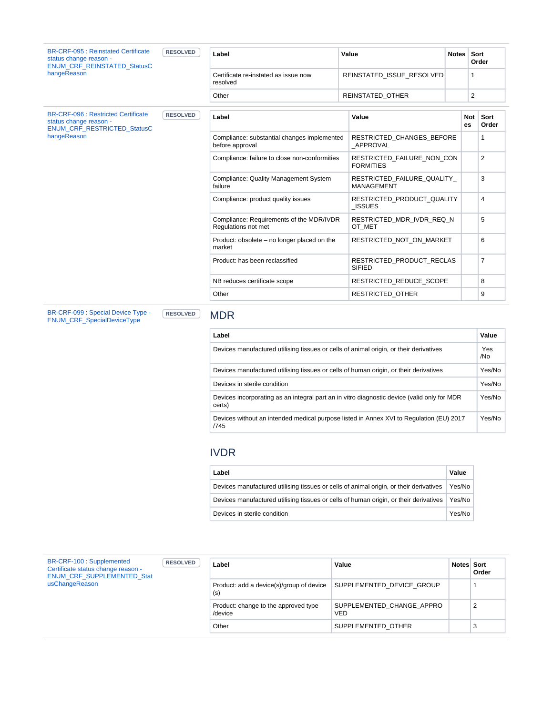| <b>BR-CRF-095 : Reinstated Certificate</b><br>status change reason -<br><b>ENUM CRF REINSTATED StatusC</b> | <b>RESOLVED</b> | Label                                                           | Value                                           | <b>Notes</b> |                                                                                                            |                |  |
|------------------------------------------------------------------------------------------------------------|-----------------|-----------------------------------------------------------------|-------------------------------------------------|--------------|------------------------------------------------------------------------------------------------------------|----------------|--|
| hangeReason                                                                                                |                 | Certificate re-instated as issue now<br>resolved                | REINSTATED ISSUE RESOLVED                       |              | $\mathbf{1}$                                                                                               |                |  |
|                                                                                                            |                 | Other                                                           | REINSTATED OTHER                                |              | Sort<br>Order<br>$\overline{2}$<br><b>Not</b><br>Sort<br>Order<br>es<br>1<br>$\overline{2}$<br>3<br>4<br>5 |                |  |
| <b>BR-CRF-096: Restricted Certificate</b><br>status change reason -<br>ENUM_CRF_RESTRICTED_StatusC         | <b>RESOLVED</b> | Label                                                           | Value                                           |              |                                                                                                            |                |  |
| hangeReason                                                                                                |                 | Compliance: substantial changes implemented<br>before approval  | RESTRICTED_CHANGES_BEFORE<br>APPROVAL           |              |                                                                                                            |                |  |
|                                                                                                            |                 | Compliance: failure to close non-conformities                   | RESTRICTED FAILURE NON CON<br><b>FORMITIES</b>  |              |                                                                                                            |                |  |
|                                                                                                            |                 | Compliance: Quality Management System<br>failure                | RESTRICTED FAILURE QUALITY<br><b>MANAGEMENT</b> |              |                                                                                                            |                |  |
|                                                                                                            |                 | Compliance: product quality issues                              | RESTRICTED PRODUCT QUALITY<br><b>ISSUES</b>     |              |                                                                                                            |                |  |
|                                                                                                            |                 | Compliance: Requirements of the MDR/IVDR<br>Regulations not met | RESTRICTED MDR IVDR REQ N<br>OT MET             |              |                                                                                                            |                |  |
|                                                                                                            |                 | Product: obsolete - no longer placed on the<br>market           | RESTRICTED NOT ON MARKET                        |              |                                                                                                            | 6              |  |
|                                                                                                            |                 | Product: has been reclassified                                  | RESTRICTED PRODUCT RECLAS<br><b>SIFIED</b>      |              |                                                                                                            | $\overline{7}$ |  |
|                                                                                                            |                 | NB reduces certificate scope                                    | RESTRICTED REDUCE SCOPE                         |              |                                                                                                            | 8              |  |
|                                                                                                            |                 | Other                                                           |                                                 |              | 9                                                                                                          |                |  |
| BR-CRF-099 : Special Device Type -<br><b>ENIIM CRE SpecialDeviceType</b>                                   | <b>RESOLVED</b> | <b>MDR</b>                                                      |                                                 |              |                                                                                                            |                |  |

[BR-CRF-099 : Special Device Type -](https://citnet.tech.ec.europa.eu/CITnet/jira/browse/EUDAMEDMDR-2342?src=confmacro)  [ENUM\\_CRF\\_SpecialDeviceType](https://citnet.tech.ec.europa.eu/CITnet/jira/browse/EUDAMEDMDR-2342?src=confmacro)

| Label                                                                                                 | Value      |
|-------------------------------------------------------------------------------------------------------|------------|
| Devices manufactured utilising tissues or cells of animal origin, or their derivatives                | Yes<br>/No |
| Devices manufactured utilising tissues or cells of human origin, or their derivatives                 | Yes/No     |
| Devices in sterile condition                                                                          | Yes/No     |
| Devices incorporating as an integral part an in vitro diagnostic device (valid only for MDR<br>certs) | Yes/No     |
| Devices without an intended medical purpose listed in Annex XVI to Regulation (EU) 2017<br>/745       | Yes/No     |
|                                                                                                       |            |

### IVDR

| Label                                                                                          | Value  |
|------------------------------------------------------------------------------------------------|--------|
| Devices manufactured utilising tissues or cells of animal origin, or their derivatives         | Yes/No |
| Devices manufactured utilising tissues or cells of human origin, or their derivatives   Yes/No |        |
| Devices in sterile condition                                                                   | Yes/No |

| BR-CRF-100 : Supplemented<br>Certificate status change reason -<br><b>ENUM CRF SUPPLEMENTED Stat</b> | <b>RESOLVED</b> | Label                                           | Value                                   | <b>Notes</b> Sort | Order |
|------------------------------------------------------------------------------------------------------|-----------------|-------------------------------------------------|-----------------------------------------|-------------------|-------|
| usChangeReason                                                                                       |                 | Product: add a device(s)/group of device<br>(s) | SUPPLEMENTED DEVICE GROUP               |                   |       |
|                                                                                                      |                 | Product: change to the approved type<br>/device | SUPPLEMENTED_CHANGE_APPRO<br><b>VED</b> |                   | 2     |
|                                                                                                      |                 | Other                                           | SUPPLEMENTED OTHER                      |                   | 3     |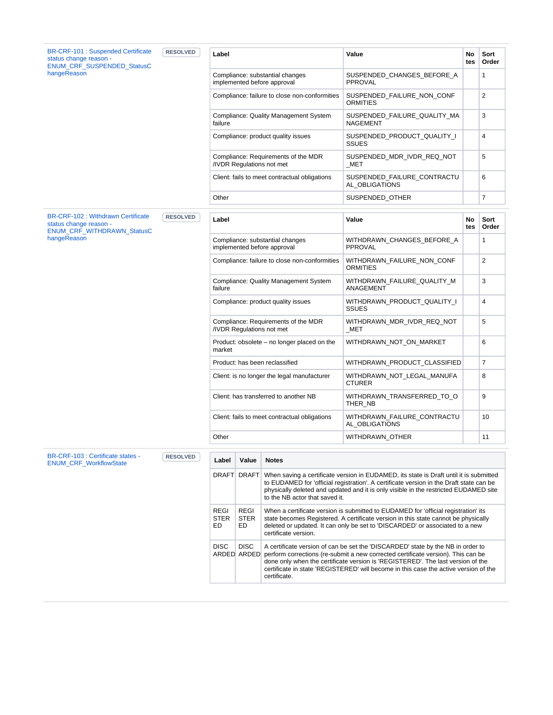| <b>BR-CRF-101: Suspended Certificate</b><br>status change reason -<br><b>ENUM CRF SUSPENDED StatusC</b><br>hangeReason | <b>RESOLVED</b> | Label                                                            | Value                                           | No<br>tes | Sort<br>Order  |
|------------------------------------------------------------------------------------------------------------------------|-----------------|------------------------------------------------------------------|-------------------------------------------------|-----------|----------------|
|                                                                                                                        |                 | Compliance: substantial changes<br>implemented before approval   | SUSPENDED_CHANGES_BEFORE_A<br><b>PPROVAL</b>    |           | $\mathbf{1}$   |
|                                                                                                                        |                 | Compliance: failure to close non-conformities                    | SUSPENDED FAILURE NON CONF<br>ORMITIES          |           | $\overline{2}$ |
|                                                                                                                        |                 | Compliance: Quality Management System<br>failure                 | SUSPENDED_FAILURE_QUALITY_MA<br><b>NAGEMENT</b> |           | 3              |
|                                                                                                                        |                 | Compliance: product quality issues                               | SUSPENDED PRODUCT QUALITY I<br><b>SSUES</b>     |           | 4              |
|                                                                                                                        |                 | Compliance: Requirements of the MDR<br>/IVDR Regulations not met | SUSPENDED_MDR_IVDR_REQ_NOT<br>MET               |           | 5              |
|                                                                                                                        |                 | Client: fails to meet contractual obligations                    | SUSPENDED FAILURE CONTRACTU<br>AL OBLIGATIONS   |           | 6              |
|                                                                                                                        |                 | Other                                                            | SUSPENDED_OTHER                                 |           | $\overline{7}$ |
|                                                                                                                        |                 |                                                                  |                                                 |           |                |
| <b>BR-CRF-102: Withdrawn Certificate</b><br>status change reason -<br>ENUM_CRF_WITHDRAWN_StatusC                       | <b>RESOLVED</b> | Label                                                            | Value                                           | No<br>tes | Sort<br>Order  |
| hangeReason                                                                                                            |                 | Compliance: substantial changes<br>implemented before approval   | WITHDRAWN_CHANGES_BEFORE_A<br>PPROVAL           |           | $\mathbf{1}$   |
|                                                                                                                        |                 | Compliance: failure to close non-conformities                    | WITHDRAWN FAILURE NON CONF<br><b>ORMITIES</b>   |           | 2              |
|                                                                                                                        |                 | Compliance: Quality Management System<br>failure                 | WITHDRAWN_FAILURE_QUALITY_M<br>ANAGEMENT        |           | 3              |
|                                                                                                                        |                 | Compliance: product quality issues                               | WITHDRAWN PRODUCT QUALITY I<br><b>SSUES</b>     |           | 4              |
|                                                                                                                        |                 | Compliance: Requirements of the MDR<br>/IVDR Regulations not met | WITHDRAWN_MDR_IVDR_REQ_NOT<br>MET               |           | 5              |
|                                                                                                                        |                 | Product: obsolete - no longer placed on the<br>market            | WITHDRAWN_NOT_ON_MARKET                         |           | 6              |
|                                                                                                                        |                 | Product: has been reclassified                                   | WITHDRAWN_PRODUCT_CLASSIFIED                    |           | $\overline{7}$ |
|                                                                                                                        |                 | Client: is no longer the legal manufacturer                      | WITHDRAWN_NOT_LEGAL_MANUFA<br><b>CTURER</b>     |           | 8              |
|                                                                                                                        |                 | Client: has transferred to another NB                            | WITHDRAWN_TRANSFERRED_TO_O<br>THER NB           |           | 9              |
|                                                                                                                        |                 | Client: fails to meet contractual obligations                    | WITHDRAWN_FAILURE_CONTRACTU<br>AL_OBLIGATIONS   |           | 10             |
|                                                                                                                        |                 | Other<br>WITHDRAWN_OTHER                                         |                                                 |           | 11             |
|                                                                                                                        |                 |                                                                  |                                                 |           |                |
| BR-CRF-103 : Certificate states -<br><b>ENIIM CRE WorkflowState</b>                                                    | <b>RESOLVED</b> | Value<br><b>Notes</b><br>Label                                   |                                                 |           |                |

| <b>BR-URF-103 : Centilcate states -</b><br><b>ENUM CRF WorkflowState</b> | <b>RESOLVED</b> | Label                             | Value                      | <b>Notes</b>                                                                                                                                                                                                                                                                                                                                                   |
|--------------------------------------------------------------------------|-----------------|-----------------------------------|----------------------------|----------------------------------------------------------------------------------------------------------------------------------------------------------------------------------------------------------------------------------------------------------------------------------------------------------------------------------------------------------------|
|                                                                          |                 | <b>DRAFT</b>                      | <b>DRAFT</b>               | When saving a certificate version in EUDAMED, its state is Draft until it is submitted<br>to EUDAMED for 'official registration'. A certificate version in the Draft state can be<br>physically deleted and updated and it is only visible in the restricted EUDAMED site<br>to the NB actor that saved it.                                                    |
|                                                                          |                 | <b>REGI</b><br><b>STER</b><br>ED. | REGI<br><b>STER</b><br>ED. | When a certificate version is submitted to EUDAMED for 'official registration' its<br>state becomes Registered. A certificate version in this state cannot be physically<br>deleted or updated. It can only be set to 'DISCARDED' or associated to a new<br>certificate version.                                                                               |
|                                                                          |                 | <b>DISC</b>                       | <b>DISC</b><br>ARDED ARDED | A certificate version of can be set the 'DISCARDED' state by the NB in order to<br>perform corrections (re-submit a new corrected certificate version). This can be<br>done only when the certificate version is 'REGISTERED'. The last version of the<br>certificate in state 'REGISTERED' will become in this case the active version of the<br>certificate. |